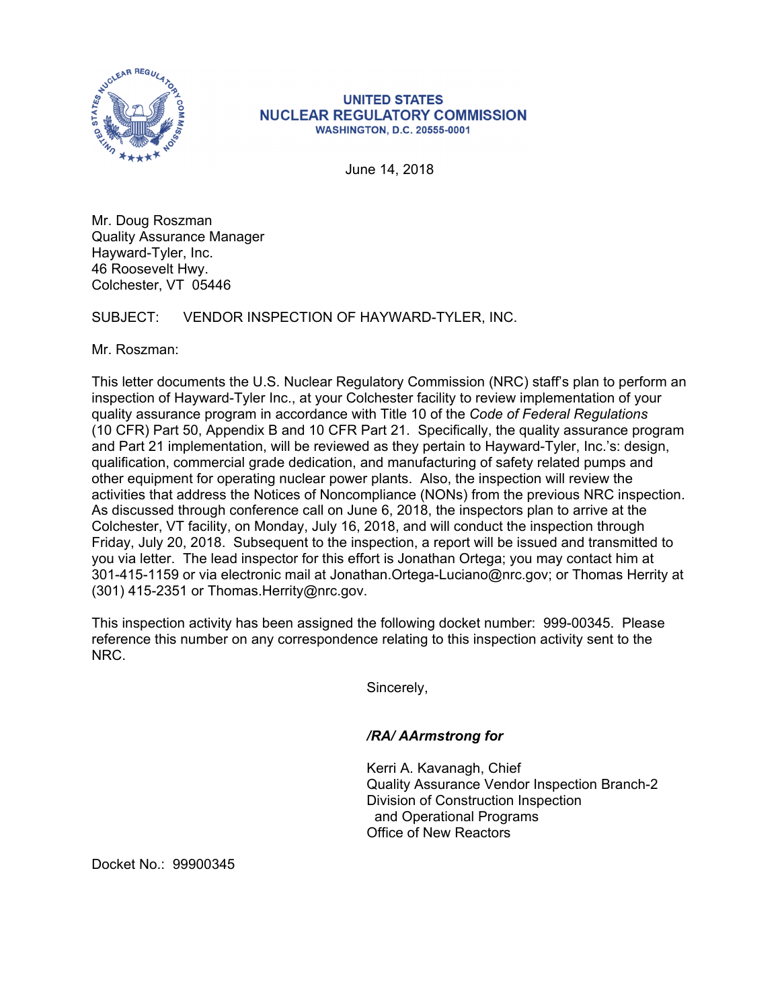

#### **UNITED STATES NUCLEAR REGULATORY COMMISSION WASHINGTON, D.C. 20555-0001**

June 14, 2018

Mr. Doug Roszman Quality Assurance Manager Hayward-Tyler, Inc. 46 Roosevelt Hwy. Colchester, VT 05446

## SUBJECT: VENDOR INSPECTION OF HAYWARD-TYLER, INC.

Mr. Roszman:

This letter documents the U.S. Nuclear Regulatory Commission (NRC) staff's plan to perform an inspection of Hayward-Tyler Inc., at your Colchester facility to review implementation of your quality assurance program in accordance with Title 10 of the *Code of Federal Regulations* (10 CFR) Part 50, Appendix B and 10 CFR Part 21. Specifically, the quality assurance program and Part 21 implementation, will be reviewed as they pertain to Hayward-Tyler, Inc.'s: design, qualification, commercial grade dedication, and manufacturing of safety related pumps and other equipment for operating nuclear power plants. Also, the inspection will review the activities that address the Notices of Noncompliance (NONs) from the previous NRC inspection. As discussed through conference call on June 6, 2018, the inspectors plan to arrive at the Colchester, VT facility, on Monday, July 16, 2018, and will conduct the inspection through Friday, July 20, 2018. Subsequent to the inspection, a report will be issued and transmitted to you via letter. The lead inspector for this effort is Jonathan Ortega; you may contact him at 301-415-1159 or via electronic mail at Jonathan.Ortega-Luciano@nrc.gov; or Thomas Herrity at (301) 415-2351 or Thomas.Herrity@nrc.gov.

This inspection activity has been assigned the following docket number: 999-00345. Please reference this number on any correspondence relating to this inspection activity sent to the NRC.

Sincerely,

### */RA/ AArmstrong for*

Kerri A. Kavanagh, Chief Quality Assurance Vendor Inspection Branch-2 Division of Construction Inspection and Operational Programs Office of New Reactors

Docket No.: 99900345